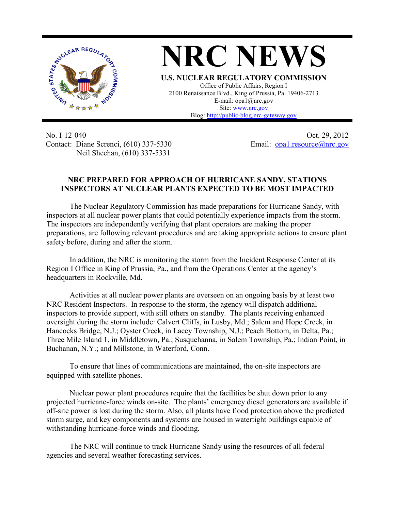

**NRC NEWS U.S. NUCLEAR REGULATORY COMMISSION** Office of Public Affairs, Region I 2100 Renaissance Blvd., King of Prussia, Pa. 19406-2713 E-mail: opa1@nrc.gov Site: [www.nrc.gov](http://www.nrc.gov/) Blog[: http://public-blog.nrc-gateway.gov](http://public-blog.nrc-gateway.gov/)

No. I-12-040 Contact: Diane Screnci, (610) 337-5330 Neil Sheehan, (610) 337-5331

Oct. 29, 2012 Email: [opa1.resource@nrc.gov](mailto:opa1.resource@nrc.gov)

## **NRC PREPARED FOR APPROACH OF HURRICANE SANDY, STATIONS INSPECTORS AT NUCLEAR PLANTS EXPECTED TO BE MOST IMPACTED**

 The Nuclear Regulatory Commission has made preparations for Hurricane Sandy, with inspectors at all nuclear power plants that could potentially experience impacts from the storm. The inspectors are independently verifying that plant operators are making the proper preparations, are following relevant procedures and are taking appropriate actions to ensure plant safety before, during and after the storm.

 In addition, the NRC is monitoring the storm from the Incident Response Center at its Region I Office in King of Prussia, Pa., and from the Operations Center at the agency's headquarters in Rockville, Md.

 Activities at all nuclear power plants are overseen on an ongoing basis by at least two NRC Resident Inspectors. In response to the storm, the agency will dispatch additional inspectors to provide support, with still others on standby. The plants receiving enhanced oversight during the storm include: Calvert Cliffs, in Lusby, Md.; Salem and Hope Creek, in Hancocks Bridge, N.J.; Oyster Creek, in Lacey Township, N.J.; Peach Bottom, in Delta, Pa.; Three Mile Island 1, in Middletown, Pa.; Susquehanna, in Salem Township, Pa.; Indian Point, in Buchanan, N.Y.; and Millstone, in Waterford, Conn.

To ensure that lines of communications are maintained, the on-site inspectors are equipped with satellite phones.

 Nuclear power plant procedures require that the facilities be shut down prior to any projected hurricane-force winds on-site. The plants' emergency diesel generators are available if off-site power is lost during the storm. Also, all plants have flood protection above the predicted storm surge, and key components and systems are housed in watertight buildings capable of withstanding hurricane-force winds and flooding.

 The NRC will continue to track Hurricane Sandy using the resources of all federal agencies and several weather forecasting services.